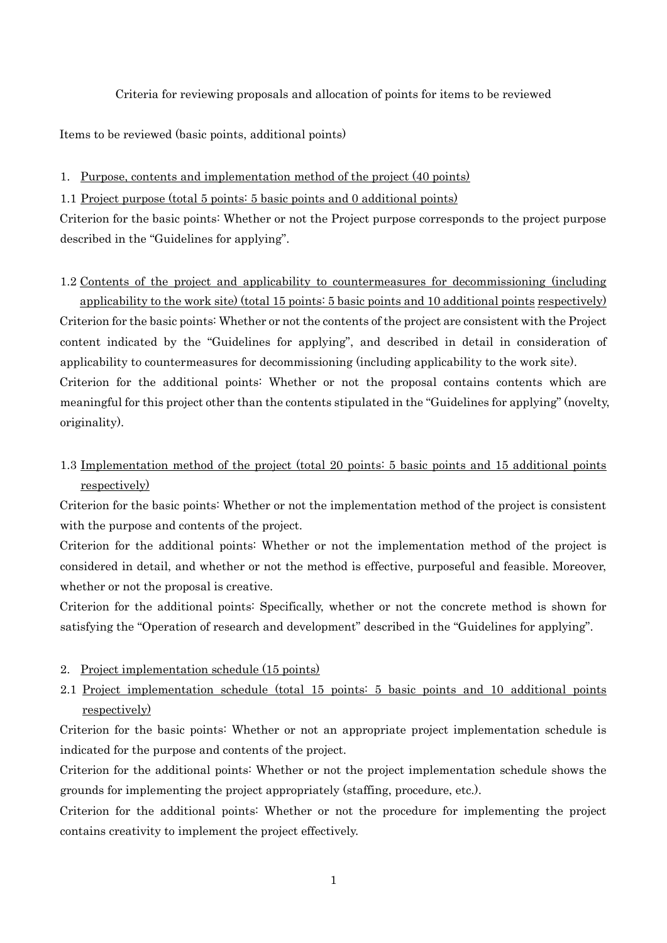Criteria for reviewing proposals and allocation of points for items to be reviewed

Items to be reviewed (basic points, additional points)

1. Purpose, contents and implementation method of the project (40 points)

1.1 Project purpose (total 5 points: 5 basic points and 0 additional points)

Criterion for the basic points: Whether or not the Project purpose corresponds to the project purpose described in the "Guidelines for applying".

#### 1.2 Contents of the project and applicability to countermeasures for decommissioning (including

applicability to the work site) (total 15 points: 5 basic points and 10 additional points respectively) Criterion for the basic points: Whether or not the contents of the project are consistent with the Project content indicated by the "Guidelines for applying", and described in detail in consideration of applicability to countermeasures for decommissioning (including applicability to the work site). Criterion for the additional points: Whether or not the proposal contains contents which are meaningful for this project other than the contents stipulated in the "Guidelines for applying" (novelty, originality).

1.3 Implementation method of the project (total 20 points: 5 basic points and 15 additional points respectively)

Criterion for the basic points: Whether or not the implementation method of the project is consistent with the purpose and contents of the project.

Criterion for the additional points: Whether or not the implementation method of the project is considered in detail, and whether or not the method is effective, purposeful and feasible. Moreover, whether or not the proposal is creative.

Criterion for the additional points: Specifically, whether or not the concrete method is shown for satisfying the "Operation of research and development" described in the "Guidelines for applying".

### 2. Project implementation schedule (15 points)

2.1 Project implementation schedule (total 15 points: 5 basic points and 10 additional points respectively)

Criterion for the basic points: Whether or not an appropriate project implementation schedule is indicated for the purpose and contents of the project.

Criterion for the additional points: Whether or not the project implementation schedule shows the grounds for implementing the project appropriately (staffing, procedure, etc.).

Criterion for the additional points: Whether or not the procedure for implementing the project contains creativity to implement the project effectively.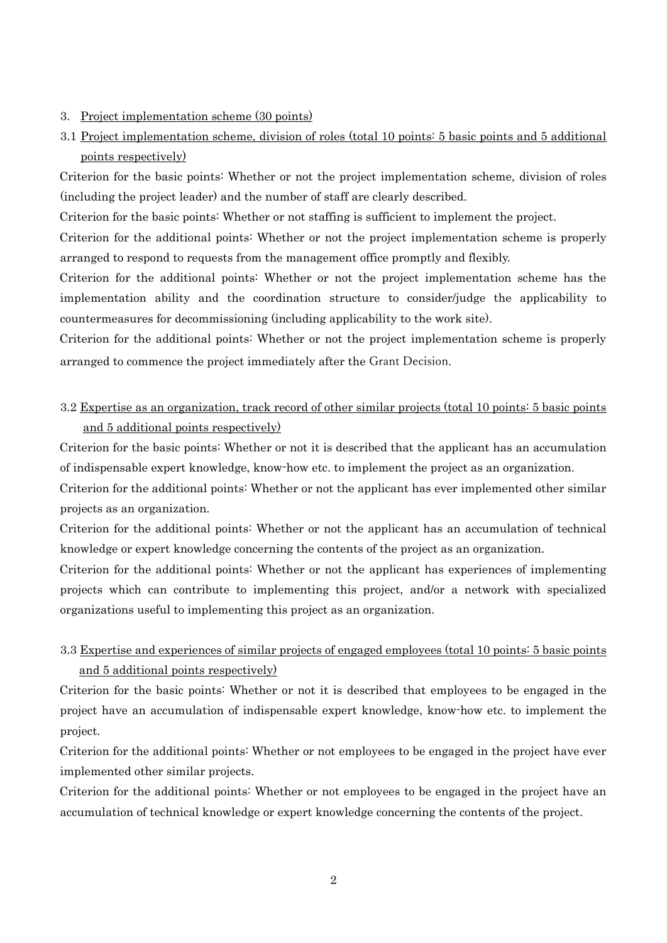### 3. Project implementation scheme (30 points)

# 3.1 Project implementation scheme, division of roles (total 10 points: 5 basic points and 5 additional points respectively)

Criterion for the basic points: Whether or not the project implementation scheme, division of roles (including the project leader) and the number of staff are clearly described.

Criterion for the basic points: Whether or not staffing is sufficient to implement the project.

Criterion for the additional points: Whether or not the project implementation scheme is properly arranged to respond to requests from the management office promptly and flexibly.

Criterion for the additional points: Whether or not the project implementation scheme has the implementation ability and the coordination structure to consider/judge the applicability to countermeasures for decommissioning (including applicability to the work site).

Criterion for the additional points: Whether or not the project implementation scheme is properly arranged to commence the project immediately after the Grant Decision.

## 3.2 Expertise as an organization, track record of other similar projects (total 10 points: 5 basic points and 5 additional points respectively)

Criterion for the basic points: Whether or not it is described that the applicant has an accumulation of indispensable expert knowledge, know-how etc. to implement the project as an organization.

Criterion for the additional points: Whether or not the applicant has ever implemented other similar projects as an organization.

Criterion for the additional points: Whether or not the applicant has an accumulation of technical knowledge or expert knowledge concerning the contents of the project as an organization.

Criterion for the additional points: Whether or not the applicant has experiences of implementing projects which can contribute to implementing this project, and/or a network with specialized organizations useful to implementing this project as an organization.

## 3.3 Expertise and experiences of similar projects of engaged employees (total 10 points: 5 basic points and 5 additional points respectively)

Criterion for the basic points: Whether or not it is described that employees to be engaged in the project have an accumulation of indispensable expert knowledge, know-how etc. to implement the project.

Criterion for the additional points: Whether or not employees to be engaged in the project have ever implemented other similar projects.

Criterion for the additional points: Whether or not employees to be engaged in the project have an accumulation of technical knowledge or expert knowledge concerning the contents of the project.